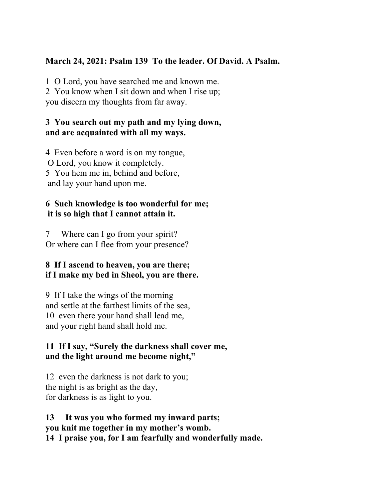# **March 24, 2021: Psalm 139 To the leader. Of David. A Psalm.**

1 O Lord, you have searched me and known me. 2 You know when I sit down and when I rise up; you discern my thoughts from far away.

#### **3 You search out my path and my lying down, and are acquainted with all my ways.**

4 Even before a word is on my tongue, O Lord, you know it completely. 5 You hem me in, behind and before, and lay your hand upon me.

### **6 Such knowledge is too wonderful for me; it is so high that I cannot attain it.**

7 Where can I go from your spirit? Or where can I flee from your presence?

## **8 If I ascend to heaven, you are there; if I make my bed in Sheol, you are there.**

9 If I take the wings of the morning and settle at the farthest limits of the sea, 10 even there your hand shall lead me, and your right hand shall hold me.

#### **11 If I say, "Surely the darkness shall cover me, and the light around me become night,"**

12 even the darkness is not dark to you; the night is as bright as the day, for darkness is as light to you.

#### **13 It was you who formed my inward parts; you knit me together in my mother's womb. 14 I praise you, for I am fearfully and wonderfully made.**